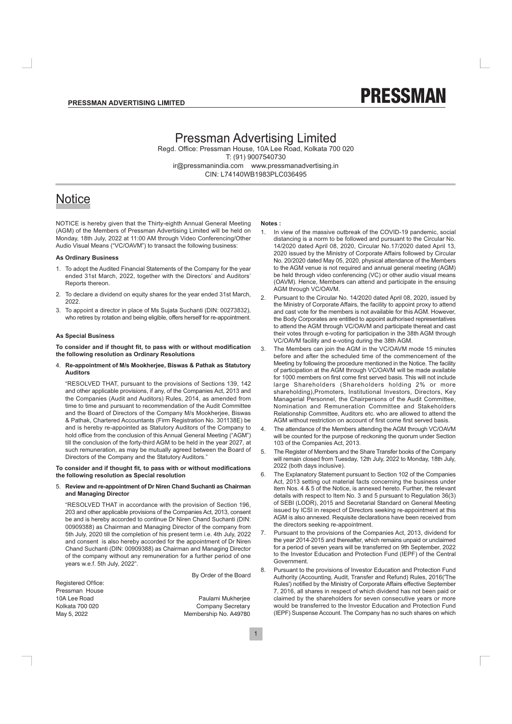

# **Pressman Advertising Limited**

Regd. Office: Pressman House, 10A Lee Road, Kolkata 700 020 T: (91) 9007540730 ir@pressmanindia.com www.pressmanadvertising.in CIN: L74140WB1983PLC036495

# **Notice**

NOTICE is hereby given that the Thirty-eighth Annual General Meeting (AGM) of the Members of Pressman Advertising Limited will be held on Monday, 18th July, 2022 at 11:00 AM through Video Conferencing/Other Audio Visual Means ("VC/OAVM") to transact the following business:

#### **As Ordinary Business**

- 1. To adopt the Audited Financial Statements of the Company for the year ended 31st March, 2022, together with the Directors' and Auditors' Reports thereon.
- 2. To declare a dividend on equity shares for the year ended 31st March, 2022
- $\mathcal{E}$ To appoint a director in place of Ms Suiata Suchanti (DIN: 00273832). who retires by rotation and being eligible, offers herself for re-appointment.

#### **As Special Business**

To consider and if thought fit, to pass with or without modification the following resolution as Ordinary Resolutions

4. Re-appointment of M/s Mookherjee, Biswas & Pathak as Statutory **Auditors** 

"RESOLVED THAT, pursuant to the provisions of Sections 139, 142 and other applicable provisions, if any, of the Companies Act, 2013 and the Companies (Audit and Auditors) Rules, 2014, as amended from time to time and pursuant to recommendation of the Audit Committee and the Board of Directors of the Company M/s Mookherjee, Biswas & Pathak, Chartered Accountants (Firm Registration No. 301138E) be and is hereby re-appointed as Statutory Auditors of the Company to hold office from the conclusion of this Annual General Meeting ("AGM") till the conclusion of the forty-third AGM to be held in the year 2027, at such remuneration, as may be mutually agreed between the Board of Directors of the Company and the Statutory Auditors."

#### To consider and if thought fit, to pass with or without modifications the following resolution as Special resolution

#### 5. Review and re-appointment of Dr Niren Chand Suchanti as Chairman and Managing Director

"RESOLVED THAT in accordance with the provision of Section 196, 203 and other applicable provisions of the Companies Act, 2013, consent be and is hereby accorded to continue Dr Niren Chand Suchanti (DIN: 00909388) as Chairman and Managing Director of the company from 5th July, 2020 till the completion of his present term i.e. 4th July, 2022 and consent is also hereby accorded for the appointment of Dr Niren Chand Suchanti (DIN: 00909388) as Chairman and Managing Director of the company without any remuneration for a further period of one years w.e.f. 5th July, 2022".

Registered Office: Pressman House 10A Lee Road Kolkata 700 020 May 5, 2022

By Order of the Board

Paulami Mukherjee Company Secretary Membership No. A49780

#### Notes:

- In view of the massive outbreak of the COVID-19 pandemic, social  $1$ distancing is a norm to be followed and pursuant to the Circular No. 14/2020 dated April 08, 2020, Circular No.17/2020 dated April 13, 2020 issued by the Ministry of Corporate Affairs followed by Circular No. 20/2020 dated May 05, 2020, physical attendance of the Members to the AGM venue is not required and annual general meeting (AGM) be held through video conferencing (VC) or other audio visual means (OAVM). Hence, Members can attend and participate in the ensuing AGM through VC/OAVM.
- $\mathcal{P}$ Pursuant to the Circular No. 14/2020 dated April 08, 2020, issued by the Ministry of Corporate Affairs, the facility to appoint proxy to attend and cast vote for the members is not available for this AGM. However, the Body Corporates are entitled to appoint authorised representatives to attend the AGM through VC/OAVM and participate thereat and cast their votes through e-voting for participation in the 38th AGM through VC/OAVM facility and e-voting during the 38th AGM.
- The Members can join the AGM in the VC/OAVM mode 15 minutes  $\mathcal{R}$ before and after the scheduled time of the commencement of the Meeting by following the procedure mentioned in the Notice. The facility of participation at the AGM through VC/OAVM will be made available for 1000 members on first come first served basis. This will not include large Shareholders (Shareholders holding 2% or more shareholding), Promoters, Institutional Investors, Directors, Key Managerial Personnel, the Chairpersons of the Audit Committee, Nomination and Remuneration Committee and Stakeholders Relationship Committee, Auditors etc, who are allowed to attend the AGM without restriction on account of first come first served basis.
- The attendance of the Members attending the AGM through VC/OAVM  $\overline{4}$ . will be counted for the purpose of reckoning the guorum under Section 103 of the Companies Act, 2013.
- 5. The Register of Members and the Share Transfer books of the Company will remain closed from Tuesday, 12th July, 2022 to Monday, 18th July, 2022 (both days inclusive).
- 6 The Explanatory Statement pursuant to Section 102 of the Companies Act, 2013 setting out material facts concerning the business under Item Nos. 4 & 5 of the Notice, is annexed hereto. Further, the relevant details with respect to Item No. 3 and 5 pursuant to Regulation 36(3) of SEBI (LODR), 2015 and Secretarial Standard on General Meeting issued by ICSI in respect of Directors seeking re-appointment at this AGM is also annexed. Requisite declarations have been received from the directors seeking re-appointment.
- Pursuant to the provisions of the Companies Act, 2013, dividend for  $7<sub>1</sub>$ the year 2014-2015 and thereafter, which remains unpaid or unclaimed for a period of seven years will be transferred on 9th September, 2022 to the Investor Education and Protection Fund (IEPF) of the Central Government
- $\mathsf{R}$ Pursuant to the provisions of Investor Education and Protection Fund Authority (Accounting, Audit, Transfer and Refund) Rules, 2016('The Rules') notified by the Ministry of Corporate Affairs effective September 7. 2016, all shares in respect of which dividend has not been paid or claimed by the shareholders for seven consecutive years or more would be transferred to the Investor Education and Protection Fund (IEPF) Suspense Account. The Company has no such shares on which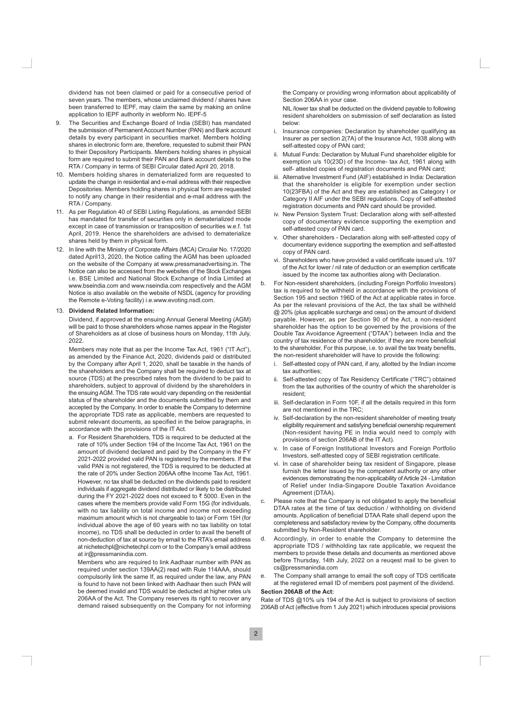dividend has not been claimed or paid for a consecutive period of seven years. The members, whose unclaimed dividend / shares have been transferred to IEPF, may claim the same by making an online application to IEPF authority in webform No. IEPF-5

- The Securities and Exchange Board of India (SEBI) has mandated  $\mathsf{Q}$ the submission of Permanent Account Number (PAN) and Bank account details by every participant in securities market. Members holding shares in electronic form are, therefore, requested to submit their PAN to their Depository Participants. Members holding shares in physical form are required to submit their PAN and Bank account details to the RTA / Company in terms of SEBI Circular dated April 20, 2018.
- 10. Members holding shares in dematerialized form are requested to update the change in residential and e-mail address with their respective Depositories. Members holding shares in physical form are requested to notify any change in their residential and e-mail address with the RTA / Company.
- 11. As per Regulation 40 of SEBI Listing Regulations, as amended SEBI has mandated for transfer of securities only in dematerialized mode except in case of transmission or transposition of securities w.e.f. 1st April, 2019. Hence the shareholders are advised to dematerialize shares held by them in physical form.
- 12. In line with the Ministry of Corporate Affairs (MCA) Circular No. 17/2020 dated April13, 2020, the Notice calling the AGM has been uploaded on the website of the Company at www.pressmanadvertising.in. The Notice can also be accessed from the websites of the Stock Exchanges i.e. BSE Limited and National Stock Exchange of India Limited at www.bseindia.com and www.nseindia.com respectively and the AGM Notice is also available on the website of NSDL (agency for providing the Remote e-Voting facility) i.e.www.evoting.nsdl.com.

#### 13. Dividend Related Information:

Dividend, if approved at the ensuing Annual General Meeting (AGM) will be paid to those shareholders whose names appear in the Register of Shareholders as at close of business hours on Monday, 11th July, 2022.

Members may note that as per the Income Tax Act, 1961 ("IT Act"), as amended by the Finance Act, 2020, dividends paid or distributed by the Company after April 1, 2020, shall be taxable in the hands of the shareholders and the Company shall be required to deduct tax at source (TDS) at the prescribed rates from the dividend to be paid to shareholders, subject to approval of dividend by the shareholders in the ensuing AGM. The TDS rate would vary depending on the residential status of the shareholder and the documents submitted by them and accepted by the Company. In order to enable the Company to determine the appropriate TDS rate as applicable, members are requested to submit relevant documents, as specified in the below paragraphs, in accordance with the provisions of the IT Act.

a. For Resident Shareholders, TDS is required to be deducted at the rate of 10% under Section 194 of the Income Tax Act. 1961 on the amount of dividend declared and paid by the Company in the FY 2021-2022 provided valid PAN is registered by the members. If the valid PAN is not registered, the TDS is required to be deducted at the rate of 20% under Section 206AA ofthe Income Tax Act, 1961. However, no tax shall be deducted on the dividends paid to resident individuals if aggregate dividend distributed or likely to be distributed during the FY 2021-2022 does not exceed to ₹ 5000. Even in the cases where the members provide valid Form 15G (for individuals, with no tax liability on total income and income not exceeding maximum amount which is not chargeable to tax) or Form 15H (for individual above the age of 60 years with no tax liability on total income), no TDS shall be deducted in order to avail the benefit of non-deduction of tax at source by email to the RTA's email address at nichetechpl@nichetechpl.com or to the Company's email address at ir@pressmanindia.com.

Members who are required to link Aadhaar number with PAN as required under section 139AA(2) read with Rule 114AAA, should compulsorily link the same If, as required under the law, any PAN is found to have not been linked with Aadhaar then such PAN will be deemed invalid and TDS would be deducted at higher rates u/s 206AA of the Act. The Company reserves its right to recover any demand raised subsequently on the Company for not informing

the Company or providing wrong information about applicability of Section 206AA in your case.

NIL /lower tax shall be deducted on the dividend payable to following resident shareholders on submission of self declaration as listed below:

- i. Insurance companies: Declaration by shareholder qualifying as Insurer as per section 2(7A) of the Insurance Act, 1938 along with self-attested copy of PAN card;
- ii. Mutual Funds: Declaration by Mutual Fund shareholder eligible for exemption u/s 10(23D) of the Income- tax Act, 1961 along with self- attested copies of registration documents and PAN card;
- iii. Alternative Investment Fund (AIF) established in India: Declaration that the shareholder is eligible for exemption under section 10(23FBA) of the Act and they are established as Category I or Category II AIF under the SEBI regulations. Copy of self-attested registration documents and PAN card should be provided.
- iv. New Pension System Trust: Declaration along with self-attested copy of documentary evidence supporting the exemption and self-attested copy of PAN card.
- v. Other shareholders Declaration along with self-attested copy of documentary evidence supporting the exemption and self-attested copy of PAN card.
- vi. Shareholders who have provided a valid certificate issued u/s. 197 of the Act for lower / nil rate of deduction or an exemption certificate issued by the income tax authorities along with Declaration.
- For Non-resident shareholders, (including Foreign Portfolio Investors)  $h$ tax is required to be withheld in accordance with the provisions of Section 195 and section 196D of the Act at applicable rates in force. As per the relevant provisions of the Act, the tax shall be withheld @ 20% (plus applicable surcharge and cess) on the amount of dividend payable. However, as per Section 90 of the Act, a non-resident shareholder has the option to be governed by the provisions of the Double Tax Avoidance Agreement ("DTAA") between India and the country of tax residence of the shareholder, if they are more beneficial to the shareholder. For this purpose, i.e. to avail the tax treaty benefits, the non-resident shareholder will have to provide the following:
	- Self-attested copy of PAN card, if any, allotted by the Indian income i. tax authorities;
	- ii. Self-attested copy of Tax Residency Certificate ("TRC") obtained from the tax authorities of the country of which the shareholder is resident<sup>.</sup>
	- iii. Self-declaration in Form 10F, if all the details required in this form are not mentioned in the TRC:
	- iv. Self-declaration by the non-resident shareholder of meeting treaty eligibility requirement and satisfying beneficial ownership requirement (Non-resident having PE in India would need to comply with provisions of section 206AB of the IT Act).
	- v. In case of Foreign Institutional Investors and Foreign Portfolio Investors, self-attested copy of SEBI registration certificate.
	- vi. In case of shareholder being tax resident of Singapore, please furnish the letter issued by the competent authority or any other evidences demonstrating the non-applicability of Article 24 - Limitation of Relief under India-Singapore Double Taxation Avoidance Agreement (DTAA).
- Please note that the Company is not obligated to apply the beneficial C. DTAA rates at the time of tax deduction / withholding on dividend amounts. Application of beneficial DTAA Rate shall depend upon the completeness and satisfactory review by the Company, ofthe documents submitted by Non-Resident shareholder.
- $d_{-}$ Accordingly, in order to enable the Company to determine the appropriate TDS / withholding tax rate applicable, we request the members to provide these details and documents as mentioned above before Thursday, 14th July, 2022 on a reugest mail to be given to cs@pressmanindia.com
- The Company shall arrange to email the soft copy of TDS certificate  $\mathbf{e}$ at the registered email ID of members post payment of the dividend.

# Section 206AB of the Act:

Rate of TDS @10% u/s 194 of the Act is subject to provisions of section 206AB of Act (effective from 1 July 2021) which introduces special provisions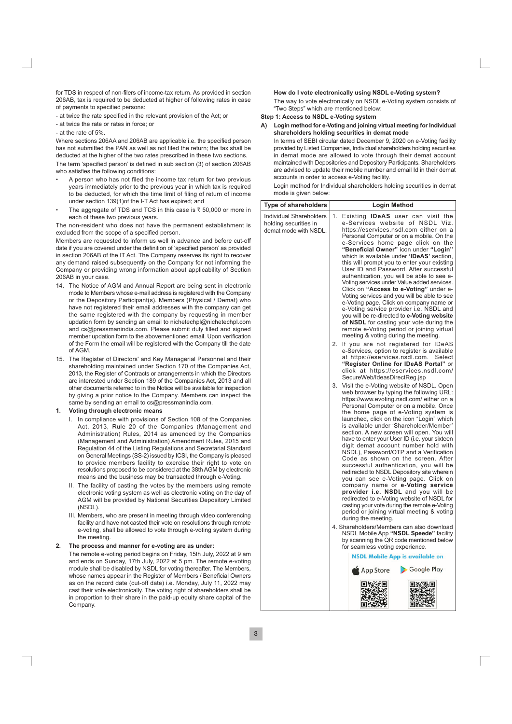for TDS in respect of non-filers of income-tax return. As provided in section 206AB, tax is required to be deducted at higher of following rates in case of payments to specified persons:

- at twice the rate specified in the relevant provision of the Act: or
- at twice the rate or rates in force: or
- at the rate of 5%

Where sections 206AA and 206AB are applicable i.e. the specified person has not submitted the PAN as well as not filed the return; the tax shall be deducted at the higher of the two rates prescribed in these two sections.

The term 'specified person' is defined in sub section (3) of section 206AB who satisfies the following conditions:

- A person who has not filed the income tax return for two previous years immediately prior to the previous year in which tax is required to be deducted, for which the time limit of filing of return of income under section 139(1) of the I-T Act has expired; and
- The aggregate of TDS and TCS in this case is  $\overline{\xi}$  50,000 or more in each of these two previous years.

The non-resident who does not have the permanent establishment is excluded from the scope of a specified person.

Members are requested to inform us well in advance and before cut-off date if you are covered under the definition of 'specified person' as provided in section 206AB of the IT Act. The Company reserves its right to recover any demand raised subsequently on the Company for not informing the Company or providing wrong information about applicability of Section 206AB in your case.

- 14. The Notice of AGM and Annual Report are being sent in electronic mode to Members whose e-mail address is registered with the Company or the Depository Participant(s), Members (Physical / Demat) who have not registered their email addresses with the company can get the same registered with the company by requesting in member updation form by sending an email to nichetechpl@nichetechpl.com and cs@pressmanindia.com. Please submit duly filled and signed member updation form to the abovementioned email. Upon verification of the Form the email will be registered with the Company till the date of AGM
- 15. The Register of Directors' and Key Managerial Personnel and their shareholding maintained under Section 170 of the Companies Act, 2013, the Register of Contracts or arrangements in which the Directors are interested under Section 189 of the Companies Act, 2013 and all other documents referred to in the Notice will be available for inspection by giving a prior notice to the Company. Members can inspect the same by sending an email to cs@pressmanindia.com.

#### Voting through electronic means

- I. In compliance with provisions of Section 108 of the Companies Act. 2013. Rule 20 of the Companies (Management and Administration) Rules, 2014 as amended by the Companies (Management and Administration) Amendment Rules, 2015 and Regulation 44 of the Listing Regulations and Secretarial Standard on General Meetings (SS-2) issued by ICSI, the Company is pleased to provide members facility to exercise their right to vote on resolutions proposed to be considered at the 38th AGM by electronic means and the business may be transacted through e-Voting.
- II. The facility of casting the votes by the members using remote electronic voting system as well as electronic voting on the day of AGM will be provided by National Securities Depository Limited (NSDL).
- III. Members, who are present in meeting through video conferencing facility and have not casted their vote on resolutions through remote e-voting, shall be allowed to vote through e-voting system during the meeting.

#### The process and manner for e-voting are as under:  $2.$

The remote e-voting period begins on Friday, 15th July, 2022 at 9 am and ends on Sunday, 17th July, 2022 at 5 pm. The remote e-voting module shall be disabled by NSDL for voting thereafter. The Members, whose names appear in the Register of Members / Beneficial Owners as on the record date (cut-off date) i.e. Monday, July 11, 2022 may cast their vote electronically. The voting right of shareholders shall be in proportion to their share in the paid-up equity share capital of the Company.

### How do I vote electronically using NSDL e-Voting system?

The wav to vote electronically on NSDL e-Voting system consists of "Two Steps" which are mentioned below:

### Step 1: Access to NSDL e-Voting system

A) Login method for e-Voting and joining virtual meeting for Individual shareholders holding securities in demat mode

In terms of SEBI circular dated December 9, 2020 on e-Voting facility provided by Listed Companies, Individual shareholders holding securities in demat mode are allowed to vote through their demat account maintained with Depositories and Depository Participants. Shareholders are advised to update their mobile number and email Id in their demat accounts in order to access e-Voting facility.

Login method for Individual shareholders holding securities in demat mode is given below:

| Type of shareholders                                                      | Login Method                                                                                                                                                                                                                                                                                                                                                                                                                                                                                                                                                                                                                                                                                                                                                                                                                                                                                                                                                    |  |
|---------------------------------------------------------------------------|-----------------------------------------------------------------------------------------------------------------------------------------------------------------------------------------------------------------------------------------------------------------------------------------------------------------------------------------------------------------------------------------------------------------------------------------------------------------------------------------------------------------------------------------------------------------------------------------------------------------------------------------------------------------------------------------------------------------------------------------------------------------------------------------------------------------------------------------------------------------------------------------------------------------------------------------------------------------|--|
| Individual Shareholders<br>holding securities in<br>demat mode with NSDL. | 1.<br>Existing <b>IDeAS</b> user can visit the<br>e-Services website of NSDL Viz.<br>https://eservices.nsdl.com either on a<br>Personal Computer or on a mobile. On the<br>e-Services home page click on the<br>"Beneficial Owner" icon under "Login"<br>which is available under 'IDeAS' section,<br>this will prompt you to enter your existing<br>User ID and Password. After successful<br>authentication, you will be able to see e-<br>Voting services under Value added services.<br>Click on "Access to e-Voting" under e-<br>Voting services and you will be able to see<br>e-Voting page. Click on company name or<br>e-Voting service provider i.e. NSDL and<br>you will be re-directed to e-Voting website<br>of NSDL for casting your vote during the<br>remote e-Voting period or joining virtual<br>meeting & voting during the meeting.                                                                                                         |  |
|                                                                           | 2.<br>If you are not registered for IDeAS<br>e-Services, option to register is available<br>at https://eservices.nsdl.com. Select<br>"Register Online for IDeAS Portal" or<br>click at https://eservices.nsdl.com/<br>SecureWeb/IdeasDirectReg.jsp                                                                                                                                                                                                                                                                                                                                                                                                                                                                                                                                                                                                                                                                                                              |  |
|                                                                           | 3.<br>Visit the e-Voting website of NSDL. Open<br>web browser by typing the following URL:<br>https://www.evoting.nsdl.com/ either on a<br>Personal Computer or on a mobile. Once<br>the home page of e-Voting system is<br>launched, click on the icon "Login" which<br>is available under 'Shareholder/Member'<br>section. A new screen will open. You will<br>have to enter your User ID (i.e. your sixteen<br>digit demat account number hold with<br>NSDL), Password/OTP and a Verification<br>Code as shown on the screen. After<br>successful authentication, you will be<br>redirected to NSDL Depository site wherein<br>you can see e-Voting page. Click on<br>company name or e-Voting service<br>provider i.e. NSDL and you will be<br>redirected to e-Voting website of NSDL for<br>casting your vote during the remote e-Voting<br>period or joining virtual meeting & voting<br>during the meeting.<br>4. Shareholders/Members can also download |  |
|                                                                           | NSDL Mobile App "NSDL Speede" facility<br>by scanning the QR code mentioned below<br>for seamless voting experience.<br><b>NSDL Mobile App is available on</b>                                                                                                                                                                                                                                                                                                                                                                                                                                                                                                                                                                                                                                                                                                                                                                                                  |  |
|                                                                           | Google Play<br>App Store                                                                                                                                                                                                                                                                                                                                                                                                                                                                                                                                                                                                                                                                                                                                                                                                                                                                                                                                        |  |
|                                                                           | ПX<br>回放线<br>EK.                                                                                                                                                                                                                                                                                                                                                                                                                                                                                                                                                                                                                                                                                                                                                                                                                                                                                                                                                |  |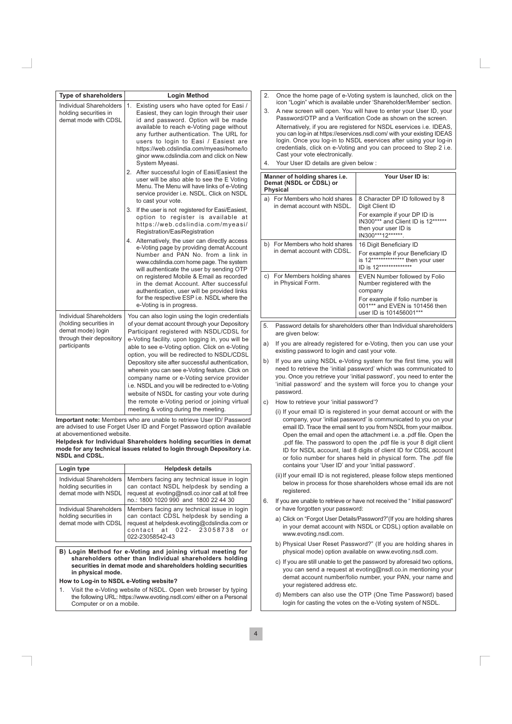| <b>Type of shareholders</b>                                                                                        | <b>Login Method</b>                                                                                                                                                                                                                                                                                                                                                                                                                                                                                                                                                                                                                              |  |
|--------------------------------------------------------------------------------------------------------------------|--------------------------------------------------------------------------------------------------------------------------------------------------------------------------------------------------------------------------------------------------------------------------------------------------------------------------------------------------------------------------------------------------------------------------------------------------------------------------------------------------------------------------------------------------------------------------------------------------------------------------------------------------|--|
| <b>Individual Shareholders</b><br>holding securities in<br>demat mode with CDSL                                    | 1.<br>Existing users who have opted for Easi /<br>Easiest, they can login through their user<br>id and password. Option will be made<br>available to reach e-Voting page without<br>any further authentication. The URL for<br>users to login to Easi / Easiest are<br>https://web.cdslindia.com/myeasi/home/lo<br>ginor www.cdslindia.com and click on New<br>System Myeasi.                                                                                                                                                                                                                                                                    |  |
|                                                                                                                    | 2. After successful login of Easi/Easiest the<br>user will be also able to see the E Voting<br>Menu. The Menu will have links of e-Voting<br>service provider i.e. NSDL. Click on NSDL<br>to cast your vote.                                                                                                                                                                                                                                                                                                                                                                                                                                     |  |
|                                                                                                                    | 3.<br>If the user is not registered for Easi/Easiest,<br>option to register is available at<br>https://web.cdslindia.com/myeasi/<br>Registration/EasiRegistration                                                                                                                                                                                                                                                                                                                                                                                                                                                                                |  |
|                                                                                                                    | 4. Alternatively, the user can directly access<br>e-Voting page by providing demat Account<br>Number and PAN No. from a link in<br>www.cdslindia.com home page. The system<br>will authenticate the user by sending OTP<br>on registered Mobile & Email as recorded<br>in the demat Account. After successful<br>authentication, user will be provided links<br>for the respective ESP i.e. NSDL where the<br>e-Voting is in progress.                                                                                                                                                                                                           |  |
| Individual Shareholders<br>(holding securities in<br>demat mode) login<br>through their depository<br>participants | You can also login using the login credentials<br>of your demat account through your Depository<br>Participant registered with NSDL/CDSL for<br>e-Voting facility. upon logging in, you will be<br>able to see e-Voting option. Click on e-Voting<br>option, you will be redirected to NSDL/CDSL<br>Depository site after successful authentication,<br>wherein you can see e-Voting feature. Click on<br>company name or e-Voting service provider<br>i.e. NSDL and you will be redirected to e-Voting<br>website of NSDL for casting your vote during<br>the remote e-Voting period or joining virtual<br>meeting & voting during the meeting. |  |

Important note: Members who are unable to retrieve User ID/ Password are advised to use Forget User ID and Forget Password option available at abovementioned website.

Helpdesk for Individual Shareholders holding securities in demat mode for any technical issues related to login through Depository i.e. **NSDL and CDSL.** 

| Login type                                                                      | <b>Helpdesk details</b>                                                                                                                                                                            |  |
|---------------------------------------------------------------------------------|----------------------------------------------------------------------------------------------------------------------------------------------------------------------------------------------------|--|
| <b>Individual Shareholders</b><br>holding securities in<br>demat mode with NSDL | Members facing any technical issue in login<br>can contact NSDL helpdesk by sending a<br>request at evoting@nsdl.co.inor call at toll free<br>no.: 1800 1020 990 and 1800 22 44 30                 |  |
| Individual Shareholders<br>holding securities in<br>demat mode with CDSL        | Members facing any technical issue in login<br>can contact CDSL helpdesk by sending a<br>request at helpdesk.evoting@cdslindia.com or<br>contact at 022- 23058738<br>$\alpha r$<br>022-23058542-43 |  |

B) Login Method for e-Voting and joining virtual meeting for shareholders other than Individual shareholders holding securities in demat mode and shareholders holding securities in physical mode.

#### How to Log-in to NSDL e-Voting website?

Visit the e-Voting website of NSDL. Open web browser by typing  $1$ the following URL: https://www.evoting.nsdl.com/ either on a Personal Computer or on a mobile.

- $\mathcal{D}$ Once the home page of e-Voting system is launched, click on the icon "Login" which is available under 'Shareholder/Member' section.
- A new screen will open. You will have to enter your User ID, your  $\mathcal{R}$ Password/OTP and a Verification Code as shown on the screen.

Alternatively, if you are registered for NSDL eservices i.e. IDEAS, you can log-in at https://eservices.nsdl.com/ with your existing IDEAS login. Once you log-in to NSDL eservices after using your log-in credentials, click on e-Voting and you can proceed to Step 2 i.e. Cast your vote electronically.

Your User ID details are given below :

| Manner of holding shares i.e.<br>Demat (NSDL or CDSL) or<br><b>Physical</b> |                                                               | Your User ID is:                                                                                               |
|-----------------------------------------------------------------------------|---------------------------------------------------------------|----------------------------------------------------------------------------------------------------------------|
|                                                                             | a) For Members who hold shares<br>in demat account with NSDL. | 8 Character DP ID followed by 8<br>Digit Client ID                                                             |
|                                                                             |                                                               | For example if your DP ID is<br>IN300*** and Client ID is 12******<br>then your user ID is<br>IN300***12****** |
|                                                                             | b) For Members who hold shares                                | 16 Digit Beneficiary ID                                                                                        |
| in demat account with CDSL.                                                 |                                                               | For example if your Beneficiary ID<br>is 12************** then your user<br>ID is 12**************             |
|                                                                             | c) For Members holding shares<br>in Physical Form.            | EVEN Number followed by Folio<br>Number registered with the<br>company                                         |
|                                                                             |                                                               | For example if folio number is<br>001*** and EVEN is 101456 then<br>user ID is 101456001***                    |

- Password details for shareholders other than Individual shareholders are given below:
- a) If you are already registered for e-Voting, then you can use your existing password to login and cast your vote.
- b) If you are using NSDL e-Voting system for the first time, you will need to retrieve the 'initial password' which was communicated to you. Once you retrieve your 'initial password', you need to enter the 'initial password' and the system will force you to change your nassword
- c) How to retrieve your 'initial password'?
	- (i) If your email ID is registered in your demat account or with the company, your 'initial password' is communicated to you on your email ID. Trace the email sent to you from NSDL from your mailbox. Open the email and open the attachment i.e. a .pdf file. Open the .pdf file. The password to open the .pdf file is your 8 digit client ID for NSDL account. last 8 digits of client ID for CDSL account or folio number for shares held in physical form. The .pdf file contains your 'User ID' and your 'initial password'.
	- (ii) If your email ID is not registered, please follow steps mentioned below in process for those shareholders whose email ids are not registered.
- 6. If you are unable to retrieve or have not received the " Initial password" or have forgotten your password:
	- a) Click on "Forgot User Details/Password?"(If you are holding shares in your demat account with NSDL or CDSL) option available on www.evoting.nsdl.com.
	- b) Physical User Reset Password?" (If you are holding shares in physical mode) option available on www.evoting.nsdl.com.
	- c) If you are still unable to get the password by aforesaid two options, you can send a request at evoting@nsdl.co.in mentioning your demat account number/folio number, your PAN, your name and your registered address etc.
	- d) Members can also use the OTP (One Time Password) based login for casting the votes on the e-Voting system of NSDL.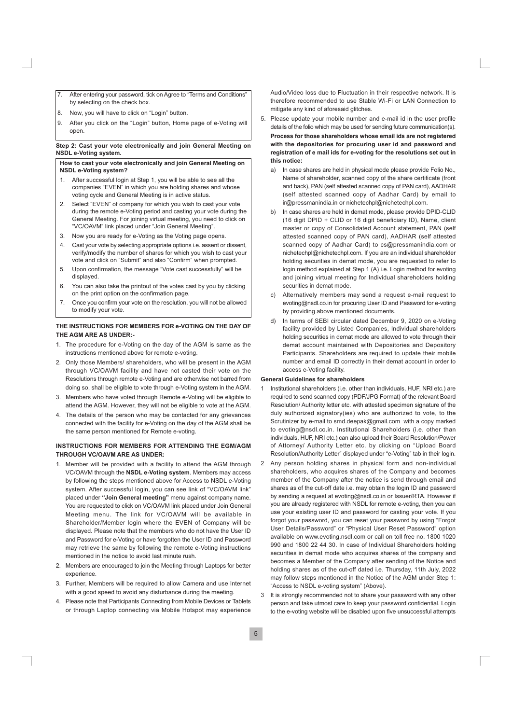- $\overline{7}$ After entering your password, tick on Agree to "Terms and Conditions" by selecting on the check box.
- 8. Now, you will have to click on "Login" button.
- $\mathsf{Q}$ After you click on the "Login" button, Home page of e-Voting will open.

# Step 2: Cast your vote electronically and join General Meeting on NSDL e-Voting system.

# How to cast your vote electronically and join General Meeting on **NSDL e-Voting system?**

- 1. After successful login at Step 1, you will be able to see all the companies "EVEN" in which you are holding shares and whose voting cycle and General Meeting is in active status.
- $2.$ Select "EVEN" of company for which you wish to cast your vote during the remote e-Voting period and casting your vote during the General Meeting. For joining virtual meeting, you need to click on "VC/OAVM" link placed under "Join General Meeting".
- 3. Now you are ready for e-Voting as the Voting page opens.
- 4. Cast your vote by selecting appropriate options i.e. assent or dissent. verify/modify the number of shares for which you wish to cast your vote and click on "Submit" and also "Confirm" when prompted.
- Upon confirmation, the message "Vote cast successfully" will be 5 displayed.
- 6. You can also take the printout of the votes cast by you by clicking on the print option on the confirmation page.
- $\overline{7}$ . Once you confirm your vote on the resolution, you will not be allowed to modify your vote.

# THE INSTRUCTIONS FOR MEMBERS FOR e-VOTING ON THE DAY OF THE AGM ARE AS UNDER:-

- 1. The procedure for e-Voting on the day of the AGM is same as the instructions mentioned above for remote e-voting.
- 2. Only those Members/ shareholders, who will be present in the AGM through VC/OAVM facility and have not casted their vote on the Resolutions through remote e-Voting and are otherwise not barred from doing so, shall be eligible to vote through e-Voting system in the AGM.
- 3. Members who have voted through Remote e-Voting will be eligible to attend the AGM. However, they will not be eligible to vote at the AGM.
- 4. The details of the person who may be contacted for any grievances connected with the facility for e-Voting on the day of the AGM shall be the same person mentioned for Remote e-voting.

# INSTRUCTIONS FOR MEMBERS FOR ATTENDING THE EGM/AGM THROUGH VC/OAVM ARE AS UNDER:

- 1. Member will be provided with a facility to attend the AGM through VC/OAVM through the NSDL e-Voting system. Members may access by following the steps mentioned above for Access to NSDL e-Voting system. After successful login, you can see link of "VC/OAVM link" placed under "Join General meeting" menu against company name. You are requested to click on VC/OAVM link placed under Join General Meeting menu. The link for VC/OAVM will be available in Shareholder/Member login where the EVEN of Company will be displayed. Please note that the members who do not have the User ID and Password for e-Voting or have forgotten the User ID and Password may retrieve the same by following the remote e-Voting instructions mentioned in the notice to avoid last minute rush.
- 2. Members are encouraged to join the Meeting through Laptops for better experience
- 3. Further, Members will be required to allow Camera and use Internet with a good speed to avoid any disturbance during the meeting
- 4. Please note that Participants Connecting from Mobile Devices or Tablets or through Laptop connecting via Mobile Hotspot may experience

Audio/Video loss due to Fluctuation in their respective network. It is therefore recommended to use Stable Wi-Fi or LAN Connection to mitigate any kind of aforesaid glitches.

- 5. Please update your mobile number and e-mail id in the user profile details of the folio which may be used for sending future communication(s). Process for those shareholders whose email ids are not registered with the depositories for procuring user id and password and registration of e mail ids for e-voting for the resolutions set out in this notice:
	- In case shares are held in physical mode please provide Folio No., a) Name of shareholder, scanned copy of the share certificate (front and back), PAN (self attested scanned copy of PAN card), AADHAR (self attested scanned copy of Aadhar Card) by email to ir@pressmanindia.in or nichetechpl@nichetechpl.com.
	- In case shares are held in demat mode, please provide DPID-CLID  $h)$ (16 digit DPID + CLID or 16 digit beneficiary ID), Name, client master or copy of Consolidated Account statement, PAN (self attested scanned copy of PAN card), AADHAR (self attested scanned copy of Aadhar Card) to cs@pressmanindia.com or nichetechpl@nichetechpl.com. If you are an individual shareholder holding securities in demat mode, you are requested to refer to login method explained at Step 1 (A) i.e. Login method for evoting and joining virtual meeting for Individual shareholders holding securities in demat mode.
	- Alternatively members may send a request e-mail request to  $\mathbf{C}$ evoting@nsdl.co.in for procuring User ID and Password for e-voting by providing above mentioned documents.
	- In terms of SEBI circular dated December 9, 2020 on e-Voting d) facility provided by Listed Companies, Individual shareholders holding securities in demat mode are allowed to vote through their demat account maintained with Depositories and Depository Participants. Shareholders are required to update their mobile number and email ID correctly in their demat account in order to access e-Voting facility.

# **General Guidelines for shareholders**

- Institutional shareholders (i.e. other than individuals, HUF, NRI etc.) are  $\mathbf{1}$ required to send scanned copy (PDF/JPG Format) of the relevant Board Resolution/Authority letter etc. with attested specimen signature of the duly authorized signatory(ies) who are authorized to vote, to the Scrutinizer by e-mail to smd.deepak@gmail.com with a copy marked to evoting@nsdl.co.in. Institutional Shareholders (i.e. other than individuals, HUF, NRI etc.) can also upload their Board Resolution/Power of Attorney/ Authority Letter etc. by clicking on "Upload Board Resolution/Authority Letter" displayed under "e-Voting" tab in their login.
- 2 Any person holding shares in physical form and non-individual shareholders, who acquires shares of the Company and becomes member of the Company after the notice is send through email and shares as of the cut-off date i.e. may obtain the login ID and password by sending a request at evoting@nsdl.co.in or Issuer/RTA. However if you are already registered with NSDL for remote e-voting, then you can use your existing user ID and password for casting your vote. If you forgot your password, you can reset your password by using "Forgot User Details/Password" or "Physical User Reset Password" option available on www.evoting.nsdl.com or call on toll free no. 1800 1020 990 and 1800 22 44 30. In case of Individual Shareholders holding securities in demat mode who acquires shares of the company and becomes a Member of the Company after sending of the Notice and holding shares as of the cut-off dated i.e. Thursday, 11th July, 2022 may follow steps mentioned in the Notice of the AGM under Step 1: "Access to NSDL e-voting system" (Above).
- $\mathcal{R}$ It is strongly recommended not to share your password with any other person and take utmost care to keep your password confidential. Login to the e-voting website will be disabled upon five unsuccessful attempts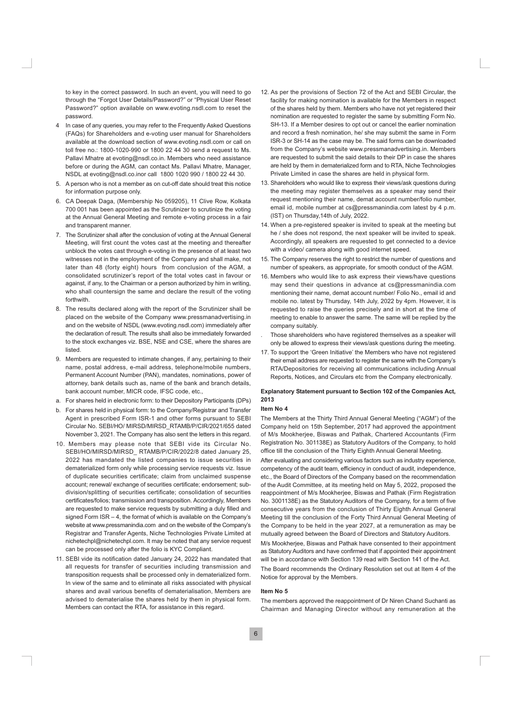to key in the correct password. In such an event, you will need to go through the "Forgot User Details/Password?" or "Physical User Reset Password?" option available on www.evoting.nsdl.com to reset the nassword

- In case of any queries, you may refer to the Frequently Asked Questions (FAQs) for Shareholders and e-voting user manual for Shareholders available at the download section of www.evoting.nsdl.com or call on toll free no.: 1800-1020-990 or 1800 22 44 30 send a request to Ms. Pallavi Mhatre at evoting@nsdl.co.in. Members who need assistance before or during the AGM, can contact Ms. Pallavi Mhatre, Manager, NSDL at evoting@nsdl.co.inor call 1800 1020 990 / 1800 22 44 30.
- 5. A person who is not a member as on cut-off date should treat this notice for information purpose only.
- 6. CA Deepak Daga, (Membership No 059205), 11 Clive Row, Kolkata 700 001 has been appointed as the Scrutinizer to scrutinize the voting at the Annual General Meeting and remote e-voting process in a fair and transparent manner.
- 7. The Scrutinizer shall after the conclusion of voting at the Annual General Meeting, will first count the votes cast at the meeting and thereafter unblock the votes cast through e-voting in the presence of at least two witnesses not in the employment of the Company and shall make, not later than 48 (forty eight) hours from conclusion of the AGM, a consolidated scrutinizer's report of the total votes cast in favour or against, if any, to the Chairman or a person authorized by him in writing, who shall countersign the same and declare the result of the voting forthwith.
- 8. The results declared along with the report of the Scrutinizer shall be placed on the website of the Company www.pressmanadvertising.in and on the website of NSDL (www.evoting.nsdl.com) immediately after the declaration of result. The results shall also be immediately forwarded to the stock exchanges viz. BSE, NSE and CSE, where the shares are listed
- 9. Members are requested to intimate changes, if any, pertaining to their name, postal address, e-mail address, telephone/mobile numbers, Permanent Account Number (PAN), mandates, nominations, power of attorney, bank details such as, name of the bank and branch details, bank account number. MICR code. IFSC code, etc.,
- a. For shares held in electronic form: to their Depository Participants (DPs)
- b. For shares held in physical form: to the Company/Registrar and Transfer Agent in prescribed Form ISR-1 and other forms pursuant to SEBI Circular No. SEBI/HO/ MIRSD/MIRSD RTAMB/P/CIR/2021/655 dated November 3, 2021. The Company has also sent the letters in this regard.
- 10. Members may please note that SEBI vide its Circular No. SEBI/HO/MIRSD/MIRSD RTAMB/P/CIR/2022/8 dated January 25, 2022 has mandated the listed companies to issue securities in dematerialized form only while processing service requests viz. Issue of duplicate securities certificate; claim from unclaimed suspense account; renewal/ exchange of securities certificate; endorsement; subdivision/splitting of securities certificate; consolidation of securities certificates/folios; transmission and transposition. Accordingly, Members are requested to make service requests by submitting a duly filled and signed Form  $ISR - 4$ , the format of which is available on the Company's website at www.pressmanindia.com and on the website of the Company's Registrar and Transfer Agents, Niche Technologies Private Limited at nichetechpl@nichetechpl.com. It may be noted that any service request can be processed only after the folio is KYC Compliant.
- 11. SEBI vide its notification dated January 24, 2022 has mandated that all requests for transfer of securities including transmission and transposition requests shall be processed only in dematerialized form. In view of the same and to eliminate all risks associated with physical shares and avail various benefits of dematerialisation, Members are advised to dematerialise the shares held by them in physical form. Members can contact the RTA, for assistance in this regard.
- 12. As per the provisions of Section 72 of the Act and SEBI Circular, the facility for making nomination is available for the Members in respect of the shares held by them. Members who have not yet registered their nomination are requested to register the same by submitting Form No. SH-13. If a Member desires to opt out or cancel the earlier nomination and record a fresh nomination, he/ she may submit the same in Form ISR-3 or SH-14 as the case may be. The said forms can be downloaded from the Company's website www.pressmanadvertising.in. Members are requested to submit the said details to their DP in case the shares are held by them in dematerialized form and to RTA. Niche Technologies Private Limited in case the shares are held in physical form.
- 13. Shareholders who would like to express their views/ask questions during the meeting may register themselves as a speaker may send their request mentioning their name, demat account number/folio number, email id, mobile number at cs@pressmanindia.com latest by 4 p.m. (IST) on Thursday, 14th of July, 2022.
- 14. When a pre-registered speaker is invited to speak at the meeting but he / she does not respond, the next speaker will be invited to speak. Accordingly, all speakers are requested to get connected to a device with a video/ camera along with good internet speed.
- 15. The Company reserves the right to restrict the number of questions and number of speakers, as appropriate, for smooth conduct of the AGM.
- 16. Members who would like to ask express their views/have questions may send their questions in advance at cs@pressmanindia.com mentioning their name, demat account number/ Folio No., email id and mobile no. latest by Thursday, 14th July, 2022 by 4pm. However, it is requested to raise the queries precisely and in short at the time of meeting to enable to answer the same. The same will be replied by the company suitably.
- Those shareholders who have registered themselves as a speaker will only be allowed to express their views/ask questions during the meeting.
- 17. To support the 'Green Initiative' the Members who have not registered their email address are requested to register the same with the Company's RTA/Depositories for receiving all communications including Annual Reports, Notices, and Circulars etc from the Company electronically.

# Explanatory Statement pursuant to Section 102 of the Companies Act, 2013

#### Item No 4

The Members at the Thirty Third Annual General Meeting ("AGM") of the Company held on 15th September, 2017 had approved the appointment of M/s Mookherjee, Biswas and Pathak, Chartered Accountants (Firm Registration No. 301138E) as Statutory Auditors of the Company, to hold office till the conclusion of the Thirty Eighth Annual General Meeting.

After evaluating and considering various factors such as industry experience, competency of the audit team, efficiency in conduct of audit, independence, etc., the Board of Directors of the Company based on the recommendation of the Audit Committee, at its meeting held on May 5, 2022, proposed the reappointment of M/s Mookherjee, Biswas and Pathak (Firm Registration No. 3001138E) as the Statutory Auditors of the Company, for a term of five consecutive years from the conclusion of Thirty Eighth Annual General Meeting till the conclusion of the Forty Third Annual General Meeting of the Company to be held in the year 2027, at a remuneration as may be mutually agreed between the Board of Directors and Statutory Auditors.

M/s Mookherjee, Biswas and Pathak have consented to their appointment as Statutory Auditors and have confirmed that if appointed their appointment will be in accordance with Section 139 read with Section 141 of the Act.

The Board recommends the Ordinary Resolution set out at Item 4 of the Notice for approval by the Members.

# Item No 5

The members approved the reappointment of Dr Niren Chand Suchanti as Chairman and Managing Director without any remuneration at the